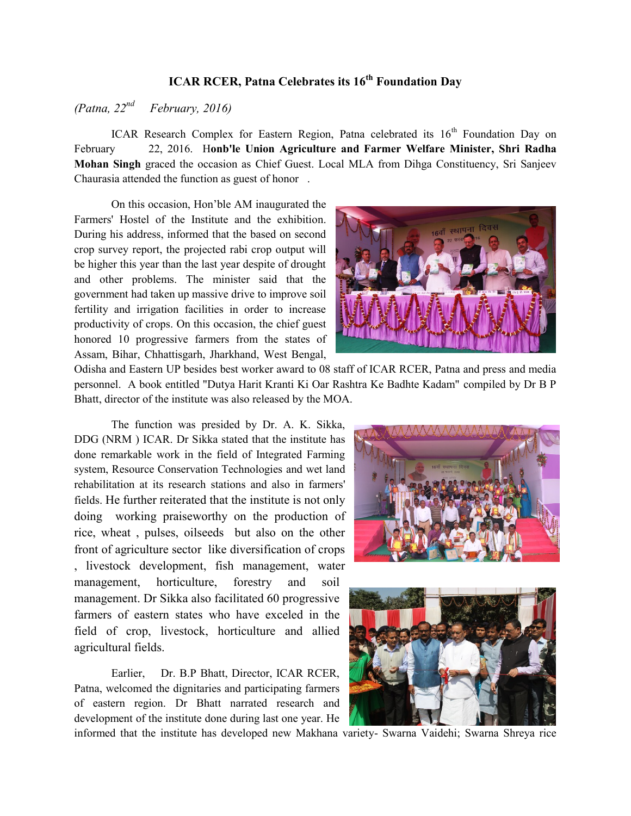## **ICAR RCER, Patna Celebrates its 16th Foundation Day**

*(Patna, 22nd February, 2016)* 

ICAR Research Complex for Eastern Region, Patna celebrated its  $16<sup>th</sup>$  Foundation Day on February 22, 2016. H**onb'le Union Agriculture and Farmer Welfare Minister, Shri Radha Mohan Singh** graced the occasion as Chief Guest. Local MLA from Dihga Constituency, Sri Sanjeev Chaurasia attended the function as guest of honor .

On this occasion, Hon'ble AM inaugurated the Farmers' Hostel of the Institute and the exhibition. During his address, informed that the based on second crop survey report, the projected rabi crop output will be higher this year than the last year despite of drought and other problems. The minister said that the government had taken up massive drive to improve soil fertility and irrigation facilities in order to increase productivity of crops. On this occasion, the chief guest honored 10 progressive farmers from the states of Assam, Bihar, Chhattisgarh, Jharkhand, West Bengal,



Odisha and Eastern UP besides best worker award to 08 staff of ICAR RCER, Patna and press and media personnel. A book entitled "Dutya Harit Kranti Ki Oar Rashtra Ke Badhte Kadam" compiled by Dr B P Bhatt, director of the institute was also released by the MOA.

The function was presided by Dr. A. K. Sikka, DDG (NRM ) ICAR. Dr Sikka stated that the institute has done remarkable work in the field of Integrated Farming system, Resource Conservation Technologies and wet land rehabilitation at its research stations and also in farmers' fields. He further reiterated that the institute is not only doing working praiseworthy on the production of rice, wheat , pulses, oilseeds but also on the other front of agriculture sector like diversification of crops , livestock development, fish management, water management, horticulture, forestry and soil management. Dr Sikka also facilitated 60 progressive farmers of eastern states who have exceled in the field of crop, livestock, horticulture and allied agricultural fields.

Earlier, Dr. B.P Bhatt, Director, ICAR RCER, Patna, welcomed the dignitaries and participating farmers of eastern region. Dr Bhatt narrated research and development of the institute done during last one year. He





informed that the institute has developed new Makhana variety- Swarna Vaidehi; Swarna Shreya rice